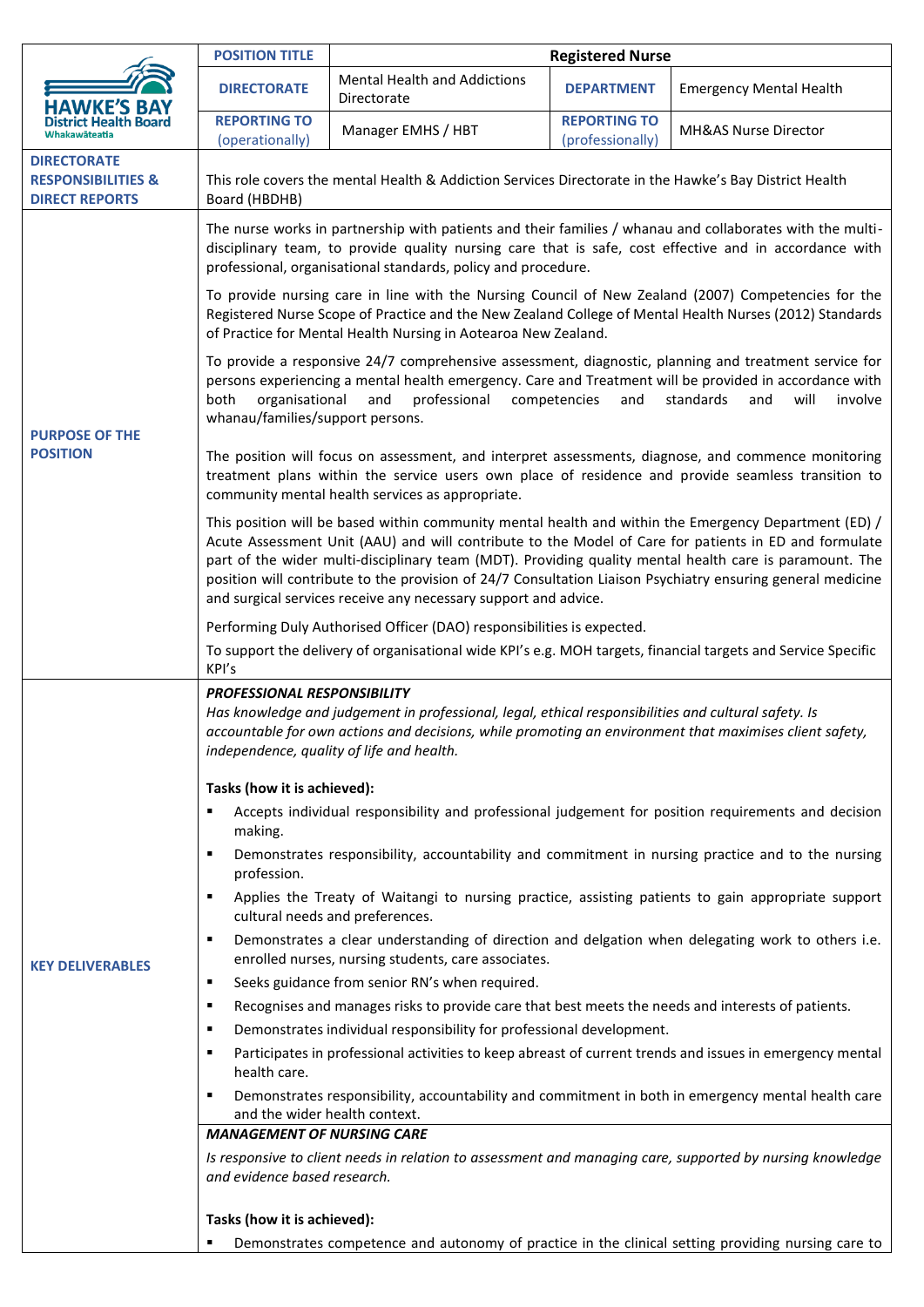|                                                                              | <b>POSITION TITLE</b>                                                                                                                                                                                                                                                                                                                                                                                                                                                                                       | <b>Registered Nurse</b>                                                                            |                                         |                                |  |
|------------------------------------------------------------------------------|-------------------------------------------------------------------------------------------------------------------------------------------------------------------------------------------------------------------------------------------------------------------------------------------------------------------------------------------------------------------------------------------------------------------------------------------------------------------------------------------------------------|----------------------------------------------------------------------------------------------------|-----------------------------------------|--------------------------------|--|
| HAWKE'S BAY                                                                  | <b>DIRECTORATE</b>                                                                                                                                                                                                                                                                                                                                                                                                                                                                                          | <b>Mental Health and Addictions</b><br>Directorate                                                 | <b>DEPARTMENT</b>                       | <b>Emergency Mental Health</b> |  |
| Whakawāteatia                                                                | <b>REPORTING TO</b><br>(operationally)                                                                                                                                                                                                                                                                                                                                                                                                                                                                      | Manager EMHS / HBT                                                                                 | <b>REPORTING TO</b><br>(professionally) | MH&AS Nurse Director           |  |
| <b>DIRECTORATE</b><br><b>RESPONSIBILITIES &amp;</b><br><b>DIRECT REPORTS</b> | This role covers the mental Health & Addiction Services Directorate in the Hawke's Bay District Health<br>Board (HBDHB)                                                                                                                                                                                                                                                                                                                                                                                     |                                                                                                    |                                         |                                |  |
| <b>PURPOSE OF THE</b><br><b>POSITION</b>                                     | The nurse works in partnership with patients and their families / whanau and collaborates with the multi-<br>disciplinary team, to provide quality nursing care that is safe, cost effective and in accordance with<br>professional, organisational standards, policy and procedure.                                                                                                                                                                                                                        |                                                                                                    |                                         |                                |  |
|                                                                              | To provide nursing care in line with the Nursing Council of New Zealand (2007) Competencies for the<br>Registered Nurse Scope of Practice and the New Zealand College of Mental Health Nurses (2012) Standards<br>of Practice for Mental Health Nursing in Aotearoa New Zealand.                                                                                                                                                                                                                            |                                                                                                    |                                         |                                |  |
|                                                                              | To provide a responsive 24/7 comprehensive assessment, diagnostic, planning and treatment service for<br>persons experiencing a mental health emergency. Care and Treatment will be provided in accordance with<br>both<br>organisational<br>and<br>professional<br>standards<br>competencies<br>and<br>and<br>will<br>involve<br>whanau/families/support persons.                                                                                                                                          |                                                                                                    |                                         |                                |  |
|                                                                              | The position will focus on assessment, and interpret assessments, diagnose, and commence monitoring<br>treatment plans within the service users own place of residence and provide seamless transition to<br>community mental health services as appropriate.                                                                                                                                                                                                                                               |                                                                                                    |                                         |                                |  |
|                                                                              | This position will be based within community mental health and within the Emergency Department (ED) /<br>Acute Assessment Unit (AAU) and will contribute to the Model of Care for patients in ED and formulate<br>part of the wider multi-disciplinary team (MDT). Providing quality mental health care is paramount. The<br>position will contribute to the provision of 24/7 Consultation Liaison Psychiatry ensuring general medicine<br>and surgical services receive any necessary support and advice. |                                                                                                    |                                         |                                |  |
|                                                                              | Performing Duly Authorised Officer (DAO) responsibilities is expected.                                                                                                                                                                                                                                                                                                                                                                                                                                      |                                                                                                    |                                         |                                |  |
|                                                                              | To support the delivery of organisational wide KPI's e.g. MOH targets, financial targets and Service Specific<br>KPI's                                                                                                                                                                                                                                                                                                                                                                                      |                                                                                                    |                                         |                                |  |
|                                                                              | <b>PROFESSIONAL RESPONSIBILITY</b><br>Has knowledge and judgement in professional, legal, ethical responsibilities and cultural safety. Is<br>accountable for own actions and decisions, while promoting an environment that maximises client safety,<br>independence, quality of life and health.                                                                                                                                                                                                          |                                                                                                    |                                         |                                |  |
|                                                                              | Tasks (how it is achieved):                                                                                                                                                                                                                                                                                                                                                                                                                                                                                 |                                                                                                    |                                         |                                |  |
|                                                                              | Accepts individual responsibility and professional judgement for position requirements and decision<br>making.                                                                                                                                                                                                                                                                                                                                                                                              |                                                                                                    |                                         |                                |  |
|                                                                              | Demonstrates responsibility, accountability and commitment in nursing practice and to the nursing<br>$\blacksquare$<br>profession.                                                                                                                                                                                                                                                                                                                                                                          |                                                                                                    |                                         |                                |  |
|                                                                              | Applies the Treaty of Waitangi to nursing practice, assisting patients to gain appropriate support<br>٠<br>cultural needs and preferences.                                                                                                                                                                                                                                                                                                                                                                  |                                                                                                    |                                         |                                |  |
| <b>KEY DELIVERABLES</b>                                                      | Demonstrates a clear understanding of direction and delgation when delegating work to others i.e.<br>٠<br>enrolled nurses, nursing students, care associates.                                                                                                                                                                                                                                                                                                                                               |                                                                                                    |                                         |                                |  |
|                                                                              | Seeks guidance from senior RN's when required.<br>$\blacksquare$                                                                                                                                                                                                                                                                                                                                                                                                                                            |                                                                                                    |                                         |                                |  |
|                                                                              | Recognises and manages risks to provide care that best meets the needs and interests of patients.<br>٠                                                                                                                                                                                                                                                                                                                                                                                                      |                                                                                                    |                                         |                                |  |
|                                                                              | Demonstrates individual responsibility for professional development.<br>٠                                                                                                                                                                                                                                                                                                                                                                                                                                   |                                                                                                    |                                         |                                |  |
|                                                                              | Participates in professional activities to keep abreast of current trends and issues in emergency mental<br>٠<br>health care.                                                                                                                                                                                                                                                                                                                                                                               |                                                                                                    |                                         |                                |  |
|                                                                              | Demonstrates responsibility, accountability and commitment in both in emergency mental health care<br>٠<br>and the wider health context.                                                                                                                                                                                                                                                                                                                                                                    |                                                                                                    |                                         |                                |  |
|                                                                              | <b>MANAGEMENT OF NURSING CARE</b>                                                                                                                                                                                                                                                                                                                                                                                                                                                                           |                                                                                                    |                                         |                                |  |
|                                                                              | Is responsive to client needs in relation to assessment and managing care, supported by nursing knowledge<br>and evidence based research.                                                                                                                                                                                                                                                                                                                                                                   |                                                                                                    |                                         |                                |  |
|                                                                              | Tasks (how it is achieved):                                                                                                                                                                                                                                                                                                                                                                                                                                                                                 |                                                                                                    |                                         |                                |  |
|                                                                              |                                                                                                                                                                                                                                                                                                                                                                                                                                                                                                             | Demonstrates competence and autonomy of practice in the clinical setting providing nursing care to |                                         |                                |  |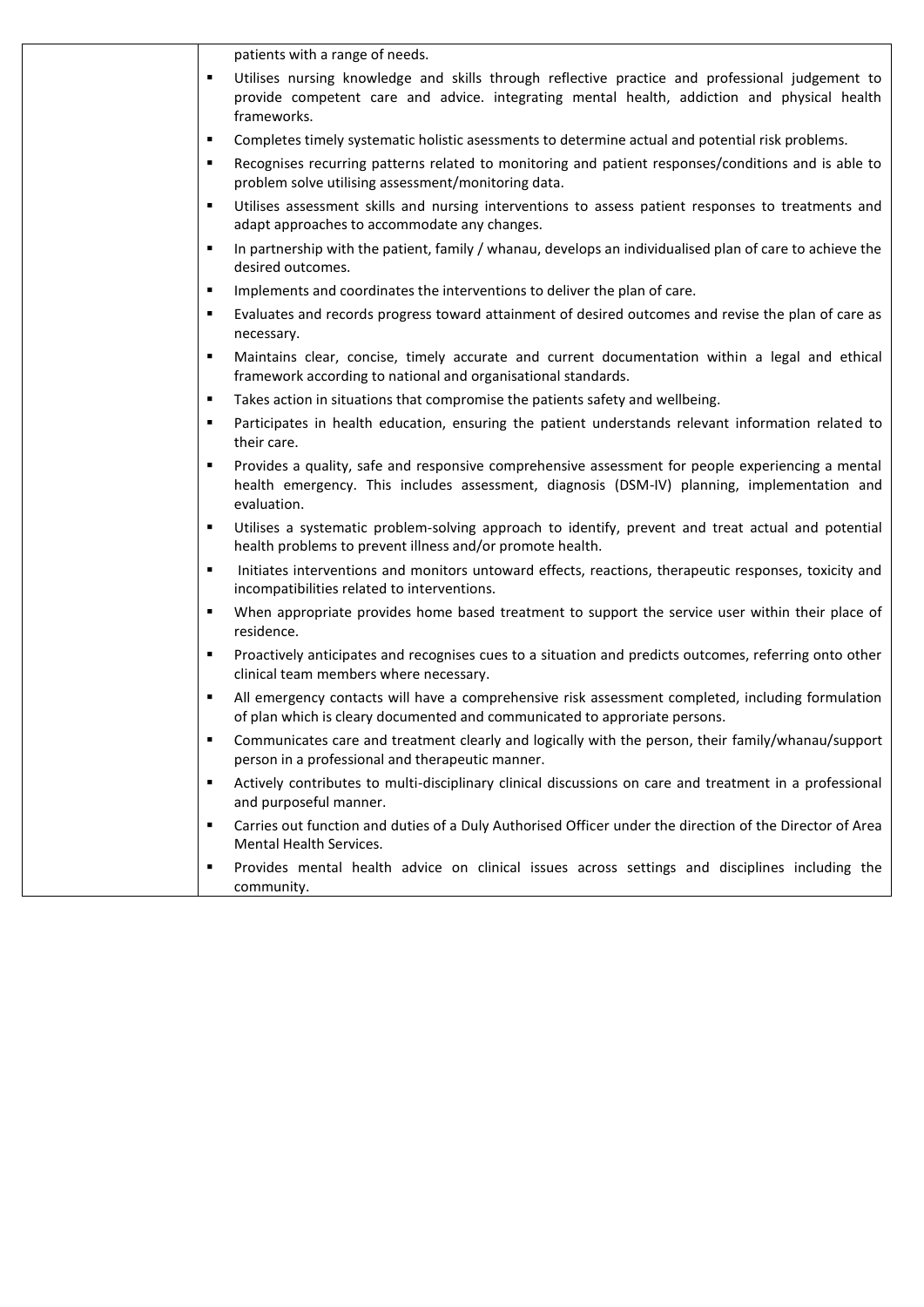|                | patients with a range of needs.                                                                                                                                                                                 |
|----------------|-----------------------------------------------------------------------------------------------------------------------------------------------------------------------------------------------------------------|
|                |                                                                                                                                                                                                                 |
| ٠              | Utilises nursing knowledge and skills through reflective practice and professional judgement to<br>provide competent care and advice. integrating mental health, addiction and physical health<br>frameworks.   |
| ٠              | Completes timely systematic holistic asessments to determine actual and potential risk problems.                                                                                                                |
| п              | Recognises recurring patterns related to monitoring and patient responses/conditions and is able to<br>problem solve utilising assessment/monitoring data.                                                      |
| ٠              | Utilises assessment skills and nursing interventions to assess patient responses to treatments and<br>adapt approaches to accommodate any changes.                                                              |
| ٠              | In partnership with the patient, family / whanau, develops an individualised plan of care to achieve the<br>desired outcomes.                                                                                   |
| п              | Implements and coordinates the interventions to deliver the plan of care.                                                                                                                                       |
| п              | Evaluates and records progress toward attainment of desired outcomes and revise the plan of care as<br>necessary.                                                                                               |
| п              | Maintains clear, concise, timely accurate and current documentation within a legal and ethical<br>framework according to national and organisational standards.                                                 |
| ٠              | Takes action in situations that compromise the patients safety and wellbeing.                                                                                                                                   |
| п              | Participates in health education, ensuring the patient understands relevant information related to<br>their care.                                                                                               |
| ٠              | Provides a quality, safe and responsive comprehensive assessment for people experiencing a mental<br>health emergency. This includes assessment, diagnosis (DSM-IV) planning, implementation and<br>evaluation. |
| ٠              | Utilises a systematic problem-solving approach to identify, prevent and treat actual and potential<br>health problems to prevent illness and/or promote health.                                                 |
| ٠              | Initiates interventions and monitors untoward effects, reactions, therapeutic responses, toxicity and<br>incompatibilities related to interventions.                                                            |
| $\blacksquare$ | When appropriate provides home based treatment to support the service user within their place of<br>residence.                                                                                                  |
| п              | Proactively anticipates and recognises cues to a situation and predicts outcomes, referring onto other<br>clinical team members where necessary.                                                                |
| ٠              | All emergency contacts will have a comprehensive risk assessment completed, including formulation<br>of plan which is cleary documented and communicated to approriate persons.                                 |
| ٠              | Communicates care and treatment clearly and logically with the person, their family/whanau/support<br>person in a professional and therapeutic manner.                                                          |
| ٠              | Actively contributes to multi-disciplinary clinical discussions on care and treatment in a professional<br>and purposeful manner.                                                                               |
| ٠              | Carries out function and duties of a Duly Authorised Officer under the direction of the Director of Area<br>Mental Health Services.                                                                             |
| п              | Provides mental health advice on clinical issues across settings and disciplines including the<br>community.                                                                                                    |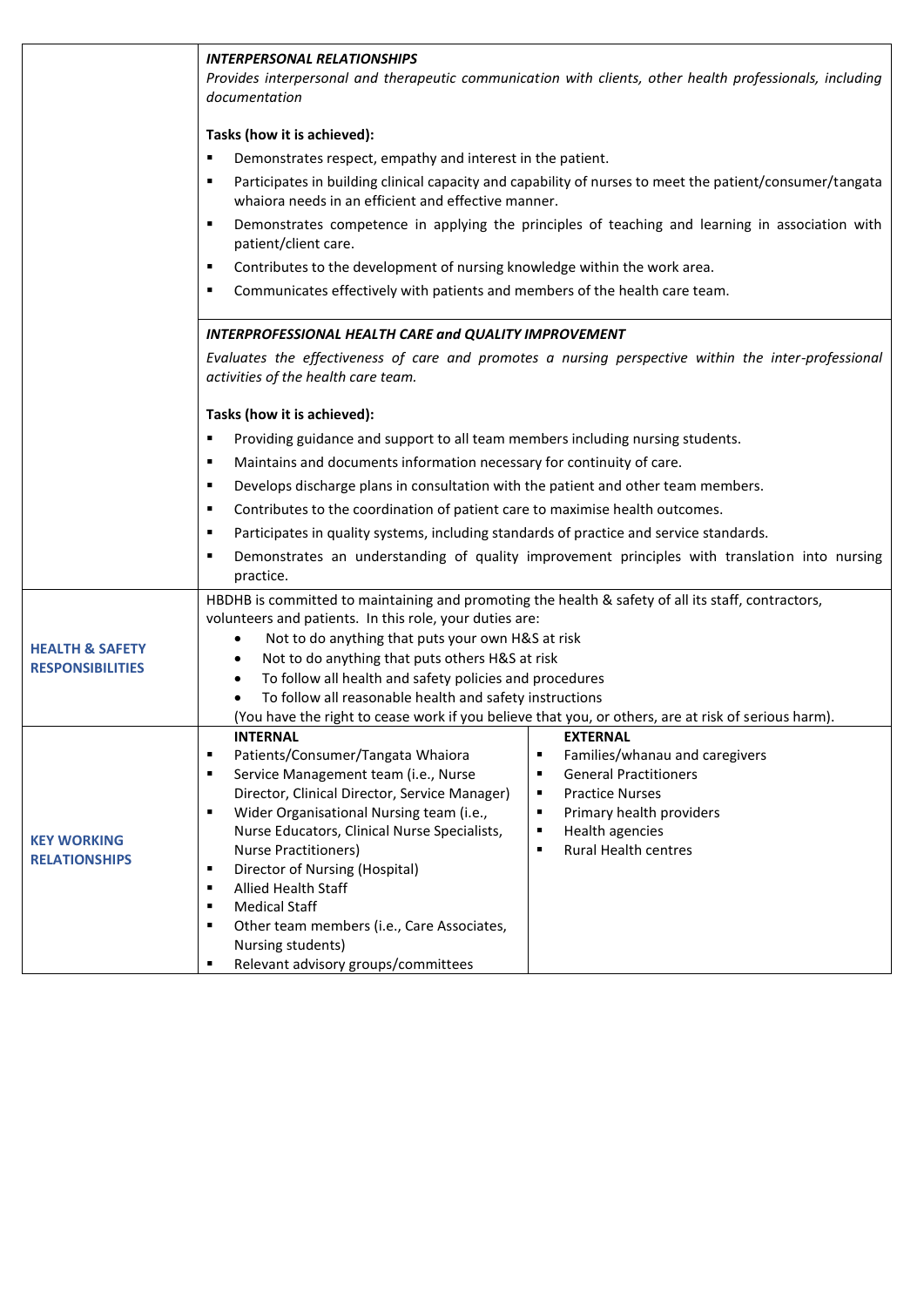|                            | <b>INTERPERSONAL RELATIONSHIPS</b><br>Provides interpersonal and therapeutic communication with clients, other health professionals, including<br>documentation                                                                         |                                                                                                     |  |  |
|----------------------------|-----------------------------------------------------------------------------------------------------------------------------------------------------------------------------------------------------------------------------------------|-----------------------------------------------------------------------------------------------------|--|--|
|                            | Tasks (how it is achieved):                                                                                                                                                                                                             |                                                                                                     |  |  |
|                            | Demonstrates respect, empathy and interest in the patient.<br>٠<br>Participates in building clinical capacity and capability of nurses to meet the patient/consumer/tangata<br>٠<br>whaiora needs in an efficient and effective manner. |                                                                                                     |  |  |
|                            |                                                                                                                                                                                                                                         |                                                                                                     |  |  |
|                            | Demonstrates competence in applying the principles of teaching and learning in association with<br>٠<br>patient/client care.                                                                                                            |                                                                                                     |  |  |
|                            | Contributes to the development of nursing knowledge within the work area.<br>٠                                                                                                                                                          |                                                                                                     |  |  |
|                            | Communicates effectively with patients and members of the health care team.<br>٠                                                                                                                                                        |                                                                                                     |  |  |
|                            | <b>INTERPROFESSIONAL HEALTH CARE and QUALITY IMPROVEMENT</b><br>Evaluates the effectiveness of care and promotes a nursing perspective within the inter-professional<br>activities of the health care team.                             |                                                                                                     |  |  |
|                            |                                                                                                                                                                                                                                         |                                                                                                     |  |  |
|                            | Tasks (how it is achieved):                                                                                                                                                                                                             |                                                                                                     |  |  |
|                            | Providing guidance and support to all team members including nursing students.<br>п                                                                                                                                                     |                                                                                                     |  |  |
|                            | Maintains and documents information necessary for continuity of care.<br>٠                                                                                                                                                              |                                                                                                     |  |  |
|                            | Develops discharge plans in consultation with the patient and other team members.<br>٠                                                                                                                                                  |                                                                                                     |  |  |
|                            | ٠                                                                                                                                                                                                                                       |                                                                                                     |  |  |
|                            | Contributes to the coordination of patient care to maximise health outcomes.<br>Participates in quality systems, including standards of practice and service standards.<br>٠                                                            |                                                                                                     |  |  |
|                            | practice.                                                                                                                                                                                                                               | Demonstrates an understanding of quality improvement principles with translation into nursing       |  |  |
|                            | HBDHB is committed to maintaining and promoting the health & safety of all its staff, contractors,                                                                                                                                      |                                                                                                     |  |  |
|                            | volunteers and patients. In this role, your duties are:                                                                                                                                                                                 |                                                                                                     |  |  |
| <b>HEALTH &amp; SAFETY</b> | Not to do anything that puts your own H&S at risk<br>$\bullet$                                                                                                                                                                          |                                                                                                     |  |  |
| <b>RESPONSIBILITIES</b>    | Not to do anything that puts others H&S at risk<br>٠                                                                                                                                                                                    |                                                                                                     |  |  |
|                            | To follow all health and safety policies and procedures<br>٠<br>To follow all reasonable health and safety instructions                                                                                                                 |                                                                                                     |  |  |
|                            |                                                                                                                                                                                                                                         | (You have the right to cease work if you believe that you, or others, are at risk of serious harm). |  |  |
|                            | <b>INTERNAL</b>                                                                                                                                                                                                                         | <b>EXTERNAL</b>                                                                                     |  |  |
|                            | Patients/Consumer/Tangata Whaiora<br>$\blacksquare$                                                                                                                                                                                     | Families/whanau and caregivers<br>٠                                                                 |  |  |
|                            | Service Management team (i.e., Nurse<br>٠                                                                                                                                                                                               | <b>General Practitioners</b><br>п                                                                   |  |  |
|                            | Director, Clinical Director, Service Manager)                                                                                                                                                                                           | <b>Practice Nurses</b><br>٠                                                                         |  |  |
|                            | Wider Organisational Nursing team (i.e.,<br>٠<br>Nurse Educators, Clinical Nurse Specialists,                                                                                                                                           | Primary health providers<br>$\blacksquare$<br>Health agencies<br>$\blacksquare$                     |  |  |
| <b>KEY WORKING</b>         | <b>Nurse Practitioners)</b>                                                                                                                                                                                                             | <b>Rural Health centres</b><br>$\blacksquare$                                                       |  |  |
| <b>RELATIONSHIPS</b>       | Director of Nursing (Hospital)<br>٠                                                                                                                                                                                                     |                                                                                                     |  |  |
|                            | <b>Allied Health Staff</b><br>٠                                                                                                                                                                                                         |                                                                                                     |  |  |
|                            | <b>Medical Staff</b><br>٠                                                                                                                                                                                                               |                                                                                                     |  |  |
|                            | Other team members (i.e., Care Associates,<br>٠                                                                                                                                                                                         |                                                                                                     |  |  |
|                            | Nursing students)                                                                                                                                                                                                                       |                                                                                                     |  |  |
|                            | Relevant advisory groups/committees<br>٠                                                                                                                                                                                                |                                                                                                     |  |  |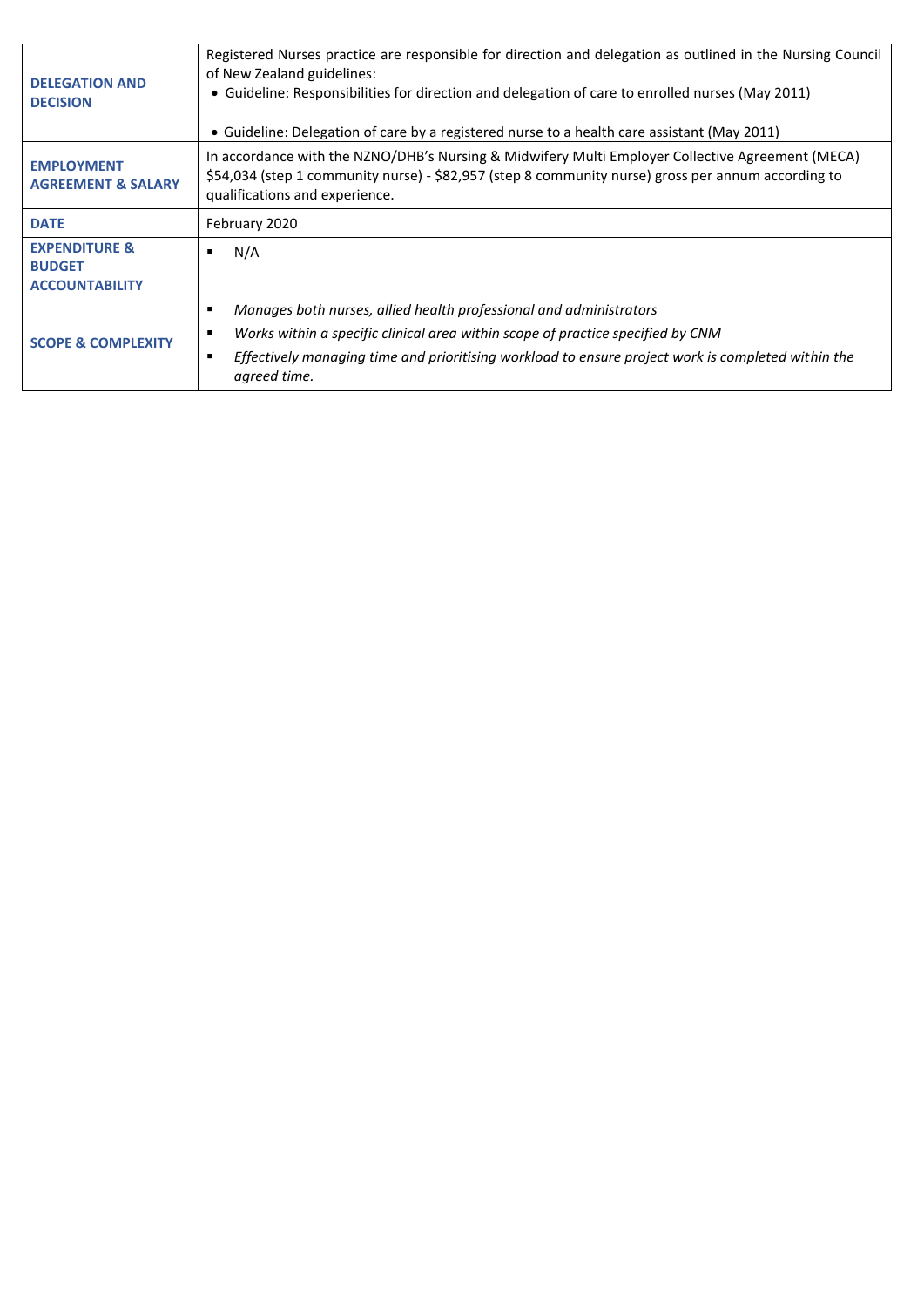| <b>DELEGATION AND</b><br><b>DECISION</b>                           | Registered Nurses practice are responsible for direction and delegation as outlined in the Nursing Council<br>of New Zealand guidelines:<br>• Guideline: Responsibilities for direction and delegation of care to enrolled nurses (May 2011)<br>• Guideline: Delegation of care by a registered nurse to a health care assistant (May 2011) |  |
|--------------------------------------------------------------------|---------------------------------------------------------------------------------------------------------------------------------------------------------------------------------------------------------------------------------------------------------------------------------------------------------------------------------------------|--|
| <b>EMPLOYMENT</b><br><b>AGREEMENT &amp; SALARY</b>                 | In accordance with the NZNO/DHB's Nursing & Midwifery Multi Employer Collective Agreement (MECA)<br>\$54,034 (step 1 community nurse) - \$82,957 (step 8 community nurse) gross per annum according to<br>qualifications and experience.                                                                                                    |  |
| <b>DATE</b>                                                        | February 2020                                                                                                                                                                                                                                                                                                                               |  |
| <b>EXPENDITURE &amp;</b><br><b>BUDGET</b><br><b>ACCOUNTABILITY</b> | N/A                                                                                                                                                                                                                                                                                                                                         |  |
| <b>SCOPE &amp; COMPLEXITY</b>                                      | Manages both nurses, allied health professional and administrators<br>Works within a specific clinical area within scope of practice specified by CNM<br>٠<br>Effectively managing time and prioritising workload to ensure project work is completed within the<br>agreed time.                                                            |  |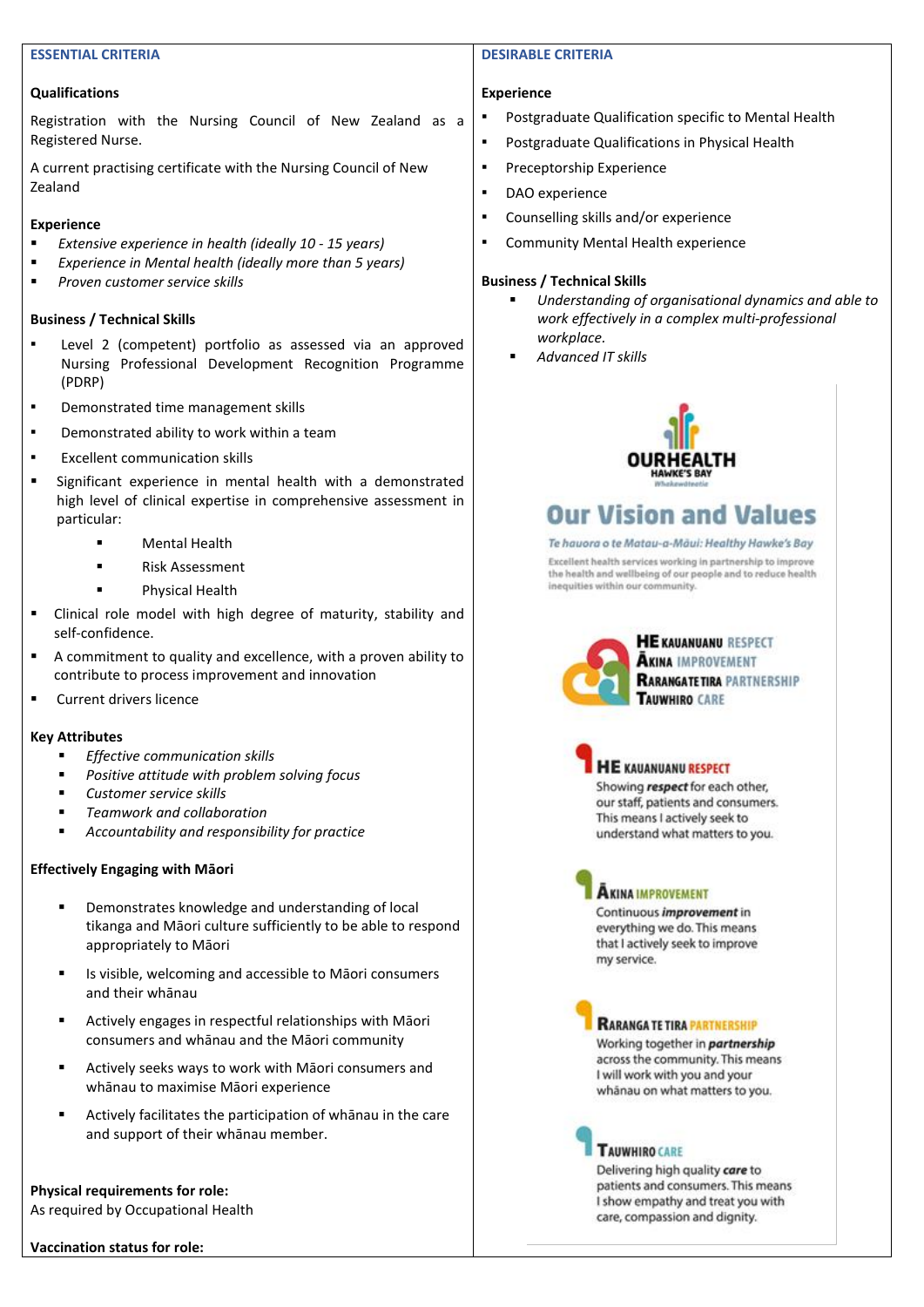#### **ESSENTIAL CRITERIA**

#### **Qualifications**

Registration with the Nursing Council of New Zealand as a Registered Nurse.

A current practising certificate with the Nursing Council of New Zealand

#### **Experience**

- *Extensive experience in health (ideally 10 - 15 years)*
- *Experience in Mental health (ideally more than 5 years)*
- *Proven customer service skills*

#### **Business / Technical Skills**

- Level 2 (competent) portfolio as assessed via an approved Nursing Professional Development Recognition Programme (PDRP)
- Demonstrated time management skills
- Demonstrated ability to work within a team
- Excellent communication skills
- Significant experience in mental health with a demonstrated high level of clinical expertise in comprehensive assessment in particular:
	- **Mental Health**
	- **Risk Assessment**
	- Physical Health
- Clinical role model with high degree of maturity, stability and self-confidence.
- A commitment to quality and excellence, with a proven ability to contribute to process improvement and innovation
- Current drivers licence

#### **Key Attributes**

- *Effective communication skills*
- *Positive attitude with problem solving focus*
- *Customer service skills*
- *Teamwork and collaboration*
- Accountability and responsibility for practice

#### **Effectively Engaging with Māori**

- Demonstrates knowledge and understanding of local tikanga and Māori culture sufficiently to be able to respond appropriately to Māori
- Is visible, welcoming and accessible to Māori consumers and their whānau
- Actively engages in respectful relationships with Māori consumers and whānau and the Māori community
- Actively seeks ways to work with Māori consumers and whānau to maximise Māori experience
- Actively facilitates the participation of whanau in the care and support of their whānau member.

**Physical requirements for role:**  As required by Occupational Health

**Vaccination status for role:** 

#### **DESIRABLE CRITERIA**

#### **Experience**

- Postgraduate Qualification specific to Mental Health
- Postgraduate Qualifications in Physical Health
- Preceptorship Experience
- DAO experience
- Counselling skills and/or experience
- Community Mental Health experience

#### **Business / Technical Skills**

- *Understanding of organisational dynamics and able to work effectively in a complex multi-professional workplace.*
- *Advanced IT skills*



# **Our Vision and Values**

#### Te hayora o te Matay-a-Māui: Healthy Hawke's Bay

Excellent health services working in partnership to improve the health and wellbeing of our people and to reduce health inequities within our community.



**HE KAUANUANU RESPECT AKINA IMPROVEMENT RARANGATETIRA PARTNERSHIP TAUWHIRD CARE** 

|  | <b>HE KAUANUANU RESPECT</b> |                    |
|--|-----------------------------|--------------------|
|  |                             |                    |
|  |                             | and the control of |

Showing respect for each other, our staff, patients and consumers. This means I actively seek to understand what matters to you.

## **AKINA IMPROVEMENT**

Continuous improvement in everything we do. This means that I actively seek to improve my service.

## **RARANGA TE TIRA PARTNERSHIP**

Working together in partnership across the community. This means I will work with you and your whānau on what matters to you.

### **TAUWHIRO CARE**

Delivering high quality care to patients and consumers. This means I show empathy and treat you with care, compassion and dignity.